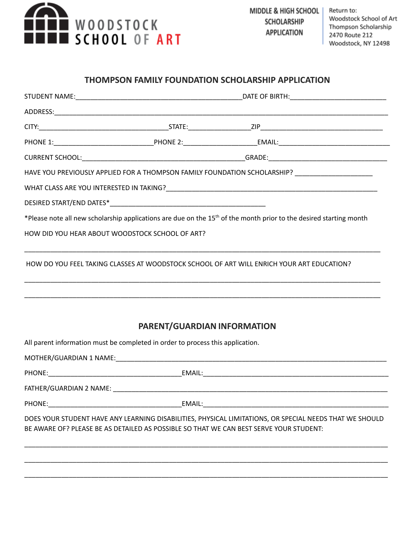

## **THOMPSON FAMILY FOUNDATION SCHOLARSHIP APPLICATION**

|                                                 |                                                                                | HAVE YOU PREVIOUSLY APPLIED FOR A THOMPSON FAMILY FOUNDATION SCHOLARSHIP? _________________________                                                                                               |
|-------------------------------------------------|--------------------------------------------------------------------------------|---------------------------------------------------------------------------------------------------------------------------------------------------------------------------------------------------|
|                                                 |                                                                                |                                                                                                                                                                                                   |
|                                                 |                                                                                |                                                                                                                                                                                                   |
|                                                 |                                                                                | *Please note all new scholarship applications are due on the 15 <sup>th</sup> of the month prior to the desired starting month                                                                    |
| HOW DID YOU HEAR ABOUT WOODSTOCK SCHOOL OF ART? |                                                                                |                                                                                                                                                                                                   |
|                                                 |                                                                                | HOW DO YOU FEEL TAKING CLASSES AT WOODSTOCK SCHOOL OF ART WILL ENRICH YOUR ART EDUCATION?                                                                                                         |
|                                                 | PARENT/GUARDIAN INFORMATION                                                    |                                                                                                                                                                                                   |
|                                                 |                                                                                |                                                                                                                                                                                                   |
|                                                 | All parent information must be completed in order to process this application. |                                                                                                                                                                                                   |
|                                                 |                                                                                |                                                                                                                                                                                                   |
|                                                 |                                                                                |                                                                                                                                                                                                   |
|                                                 |                                                                                |                                                                                                                                                                                                   |
|                                                 |                                                                                | DOES YOUR STUDENT HAVE ANY LEARNING DISABILITIES, PHYSICAL LIMITATIONS, OR SPECIAL NEEDS THAT WE SHOULD<br>BE AWARE OF? PLEASE BE AS DETAILED AS POSSIBLE SO THAT WE CAN BEST SERVE YOUR STUDENT: |
|                                                 |                                                                                |                                                                                                                                                                                                   |
|                                                 |                                                                                |                                                                                                                                                                                                   |
|                                                 |                                                                                |                                                                                                                                                                                                   |